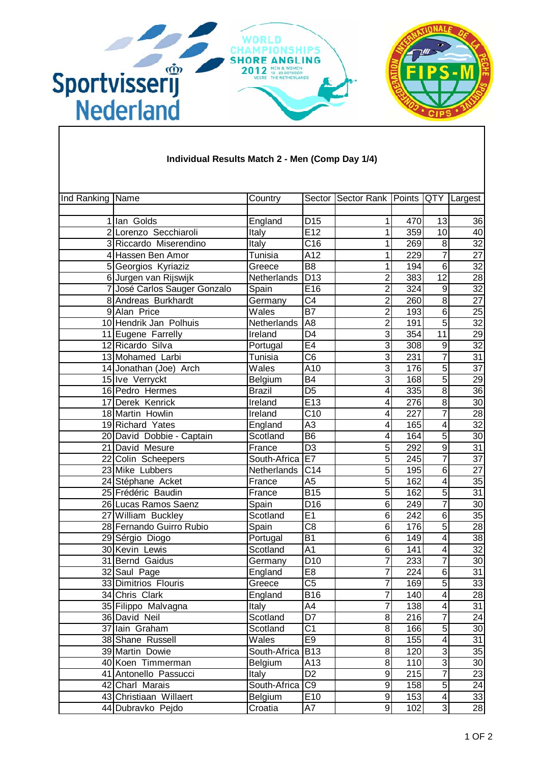

| Ind Ranking Name |                                            | Country                  |                       | Sector Sector Rank   Points   QTY   Largest |            |                 |                                    |
|------------------|--------------------------------------------|--------------------------|-----------------------|---------------------------------------------|------------|-----------------|------------------------------------|
|                  |                                            |                          |                       |                                             |            |                 |                                    |
|                  | 1 Ian Golds                                | England                  | D <sub>15</sub>       | 1                                           | 470        | 13              | 36                                 |
|                  | 2 Lorenzo Secchiaroli                      | Italy                    | E12                   | 1                                           | 359        | 10              | 40                                 |
|                  | 3 Riccardo Miserendino                     | Italy                    | $\overline{C16}$      | 1                                           | 269        | 8               | $\overline{32}$                    |
|                  | 4 Hassen Ben Amor                          | Tunisia                  | $\overline{A12}$      | 1                                           | 229        | 7               | $\overline{27}$                    |
|                  | 5 Georgios Kyriaziz                        | Greece                   | $\overline{B8}$       | 1                                           | 194        | $6\phantom{1}6$ | 32                                 |
|                  | 6 Jurgen van Rijswijk                      | Netherlands              | D13                   | $\overline{c}$                              | 383        | $\overline{12}$ | $\overline{28}$                    |
|                  | 7 José Carlos Sauger Gonzalo               | Spain                    | E16                   | $\overline{2}$                              | 324        | 9               | 32                                 |
|                  | 8 Andreas Burkhardt                        | Germany                  | $\overline{C4}$       | $\overline{2}$                              | 260        | $\overline{8}$  | 27                                 |
|                  | 9 Alan Price                               | Wales                    | $\overline{B7}$       | $\overline{c}$                              | 193        | 6               | 25                                 |
|                  | 10 Hendrik Jan Polhuis                     | Netherlands              | A <sub>8</sub>        | $\overline{2}$                              | 191        | 5               | $\overline{32}$                    |
|                  | 11 Eugene Farrelly                         | Ireland                  | D <sub>4</sub>        | 3                                           | 354        | $\overline{11}$ | 29                                 |
|                  | 12 Ricardo Silva                           | Portugal                 | E4                    | $\overline{3}$                              | 308        | 9<br>7          | $\overline{32}$<br>$\overline{31}$ |
|                  | 13 Mohamed Larbi<br>14 Jonathan (Joe) Arch | Tunisia<br>Wales         | C <sub>6</sub><br>A10 | 3<br>3                                      | 231<br>176 | 5               | $\overline{37}$                    |
|                  | 15 Ive Verryckt                            |                          | $\overline{B4}$       | 3                                           | 168        | 5               | 29                                 |
|                  | 16 Pedro Hermes                            | Belgium<br><b>Brazil</b> | D <sub>5</sub>        | 4                                           | 335        | $\overline{8}$  | 36                                 |
|                  | 17 Derek Kenrick                           | Ireland                  | E13                   | 4                                           | 276        | $\overline{8}$  | $\overline{30}$                    |
|                  | 18 Martin Howlin                           | Ireland                  | $\overline{C10}$      | 4                                           | 227        | $\overline{7}$  | $\overline{28}$                    |
|                  | 19 Richard Yates                           | England                  | $\overline{A3}$       | 4                                           | 165        | 4               | $\overline{32}$                    |
|                  | 20 David Dobbie - Captain                  | Scotland                 | $\overline{B6}$       | 4                                           | 164        | 5               | 30                                 |
|                  | 21 David Mesure                            | France                   | $\overline{D3}$       | 5                                           | 292        | $\overline{9}$  | $\overline{31}$                    |
|                  | 22 Colin Scheepers                         | South-Africa             | E7                    | 5                                           | 245        | 7               | $\overline{37}$                    |
|                  | 23 Mike Lubbers                            | Netherlands              | C14                   | $\overline{5}$                              | 195        | $\overline{6}$  | $\overline{27}$                    |
|                  | 24 Stéphane Acket                          | France                   | A <sub>5</sub>        | $\overline{5}$                              | 162        | 4               | $\overline{35}$                    |
|                  | 25 Frédéric Baudin                         | France                   | <b>B15</b>            | $\overline{5}$                              | 162        | 5               | $\overline{31}$                    |
|                  | 26 Lucas Ramos Saenz                       | Spain                    | D <sub>16</sub>       | 6                                           | 249        | 7               | $\overline{30}$                    |
|                  | 27 William Buckley                         | Scotland                 | E1                    | 6                                           | 242        | $\overline{6}$  | $\overline{35}$                    |
|                  | 28 Fernando Guirro Rubio                   | Spain                    | $\overline{C8}$       | 6                                           | 176        | 5               | $\overline{28}$                    |
|                  | 29 Sérgio Diogo                            | Portugal                 | <b>B1</b>             | 6                                           | 149        | 4               | 38                                 |
|                  | 30 Kevin Lewis                             | Scotland                 | A <sub>1</sub>        | 6                                           | 141        | 4               | $\overline{32}$                    |
|                  | 31 Bernd Gaidus                            | Germany                  | $\overline{D}10$      | $\overline{7}$                              | 233        | $\overline{7}$  | 30                                 |
|                  | 32 Saul Page                               | England                  | E8                    | 7                                           | 224        | 6               | $\overline{31}$                    |
|                  | 33 Dimitrios Flouris                       | Greece                   | $\overline{C5}$       | $\overline{7}$                              | 169        | 5               | 33                                 |
|                  | 34 Chris Clark                             | England                  | <b>B16</b>            | 7                                           | 140        | 4               | 28                                 |
|                  | 35 Filippo Malvagna                        | Italy                    | A4                    | 7                                           | 138        | 4               | $\overline{31}$                    |
|                  | 36 David Neil                              | Scotland                 | D7                    | 8                                           | 216        | $\overline{7}$  | 24                                 |
|                  | 37 Iain Graham                             | Scotland                 | C1                    | 8                                           | 166        | 5               | 30                                 |
|                  | 38 Shane Russell                           | Wales                    | E9                    | $\overline{8}$                              | 155        | 4               | $\overline{31}$                    |
|                  | 39 Martin Dowie                            | South-Africa             | <b>B13</b>            | 8                                           | 120        | 3               | $\overline{35}$                    |
|                  | 40 Koen Timmerman                          | Belgium                  | A13                   | 8                                           | 110        | $\overline{3}$  | $\overline{30}$                    |
|                  | 41 Antonello Passucci                      | <b>Italy</b>             | D <sub>2</sub>        | 9                                           | 215        | 7               | 23                                 |
|                  | 42 Charl Marais                            | South-Africa             | C <sub>9</sub>        | 9                                           | 158        | $\overline{5}$  | 24                                 |
|                  | 43 Christiaan Willaert                     | Belgium                  | E10                   | $\boldsymbol{9}$                            | 153        | 4               | 33                                 |
|                  | 44 Dubravko Pejdo                          | Croatia                  | A7                    | 9                                           | 102        | ω               | 28                                 |

## **Individual Results Match 2 - Men (Comp Day 1/4)**